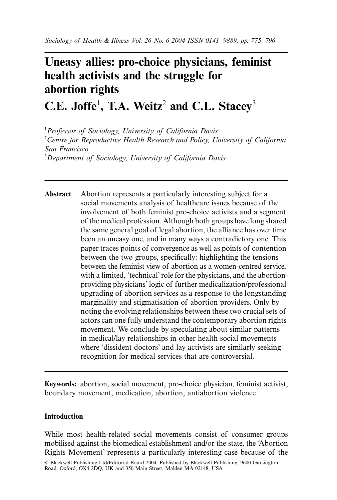# **Uneasy allies: pro-choice physicians, feminist health activists and the struggle for abortion rights**

**C.E. Joffe**<sup>1</sup> **, T.A. Weitz**<sup>2</sup> **and C.L. Stacey**<sup>3</sup>

1 *Professor of Sociology, University of California Davis* <sup>2</sup> Centre for Reproductive Health Research and Policy, University of California *San Francisco* 3 *Department of Sociology, University of California Davis* 

**Abstract** Abortion represents a particularly interesting subject for a social movements analysis of healthcare issues because of the involvement of both feminist pro-choice activists and a segment of the medical profession. Although both groups have long shared the same general goal of legal abortion, the alliance has over time been an uneasy one, and in many ways a contradictory one. This paper traces points of convergence as well as points of contention between the two groups, specifically: highlighting the tensions between the feminist view of abortion as a women-centred service, with a limited, 'technical' role for the physicians, and the abortionproviding physicians' logic of further medicalization/professional upgrading of abortion services as a response to the longstanding marginality and stigmatisation of abortion providers. Only by noting the evolving relationships between these two crucial sets of actors can one fully understand the contemporary abortion rights movement. We conclude by speculating about similar patterns in medical/lay relationships in other health social movements where 'dissident doctors' and lay activists are similarly seeking recognition for medical services that are controversial.

**Keywords:** abortion, social movement, pro-choice physician, feminist activist, boundary movement, medication, abortion, antiabortion violence

## **Introduction**

the control of the control of the control of

While most health-related social movements consist of consumer groups mobilised against the biomedical establishment and/or the state, the 'Abortion Rights Movement' represents a particularly interesting case because of the

<sup>©</sup> Blackwell Publishing Ltd/Editorial Board 2004. Published by Blackwell Publishing, 9600 Garsington Road, Oxford, OX4 2DQ, UK and 350 Main Street, Malden MA 02148, USA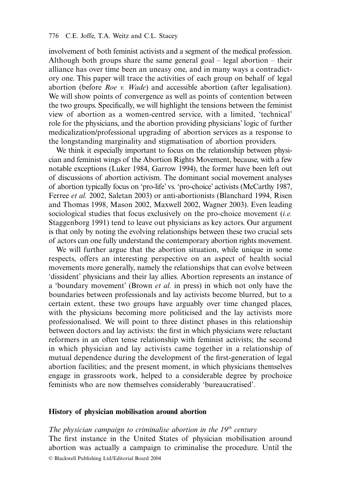involvement of both feminist activists and a segment of the medical profession. Although both groups share the same general goal – legal abortion – their alliance has over time been an uneasy one, and in many ways a contradictory one. This paper will trace the activities of each group on behalf of legal abortion (before *Roe v. Wade*) and accessible abortion (after legalisation). We will show points of convergence as well as points of contention between the two groups. Specifically, we will highlight the tensions between the feminist view of abortion as a women-centred service, with a limited, 'technical' role for the physicians, and the abortion providing physicians' logic of further medicalization/professional upgrading of abortion services as a response to the longstanding marginality and stigmatisation of abortion providers.

We think it especially important to focus on the relationship between physician and feminist wings of the Abortion Rights Movement, because, with a few notable exceptions (Luker 1984, Garrow 1994), the former have been left out of discussions of abortion activism. The dominant social movement analyses of abortion typically focus on 'pro-life' vs. 'pro-choice' activists (McCarthy 1987, Ferree *et al.* 2002, Saletan 2003) or anti-abortionists (Blanchard 1994, Risen and Thomas 1998, Mason 2002, Maxwell 2002, Wagner 2003). Even leading sociological studies that focus exclusively on the pro-choice movement (*i.e.* Staggenborg 1991) tend to leave out physicians as key actors. Our argument is that only by noting the evolving relationships between these two crucial sets of actors can one fully understand the contemporary abortion rights movement.

We will further argue that the abortion situation, while unique in some respects, offers an interesting perspective on an aspect of health social movements more generally, namely the relationships that can evolve between 'dissident' physicians and their lay allies. Abortion represents an instance of a 'boundary movement' (Brown *et al.* in press) in which not only have the boundaries between professionals and lay activists become blurred, but to a certain extent, these two groups have arguably over time changed places, with the physicians becoming more politicised and the lay activists more professionalised. We will point to three distinct phases in this relationship between doctors and lay activists: the first in which physicians were reluctant reformers in an often tense relationship with feminist activists; the second in which physician and lay activists came together in a relationship of mutual dependence during the development of the first-generation of legal abortion facilities; and the present moment, in which physicians themselves engage in grassroots work, helped to a considerable degree by prochoice feminists who are now themselves considerably 'bureaucratised'.

#### **History of physician mobilisation around abortion**

## *The physician campaign to criminalise abortion in the 19<sup>th</sup> century*

© Blackwell Publishing Ltd/Editorial Board 2004 The first instance in the United States of physician mobilisation around abortion was actually a campaign to criminalise the procedure. Until the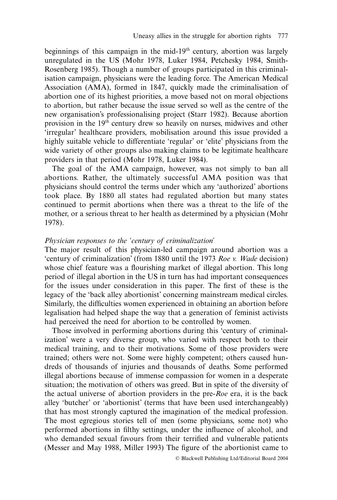beginnings of this campaign in the mid-19th century, abortion was largely unregulated in the US (Mohr 1978, Luker 1984, Petchesky 1984, Smith-Rosenberg 1985). Though a number of groups participated in this criminalisation campaign, physicians were the leading force. The American Medical Association (AMA), formed in 1847, quickly made the criminalisation of abortion one of its highest priorities, a move based not on moral objections to abortion, but rather because the issue served so well as the centre of the new organisation's professionalising project (Starr 1982). Because abortion provision in the 19<sup>th</sup> century drew so heavily on nurses, midwives and other 'irregular' healthcare providers, mobilisation around this issue provided a highly suitable vehicle to differentiate 'regular' or 'elite' physicians from the wide variety of other groups also making claims to be legitimate healthcare providers in that period (Mohr 1978, Luker 1984).

The goal of the AMA campaign, however, was not simply to ban all abortions. Rather, the ultimately successful AMA position was that physicians should control the terms under which any 'authorized' abortions took place. By 1880 all states had regulated abortion but many states continued to permit abortions when there was a threat to the life of the mother, or a serious threat to her health as determined by a physician (Mohr 1978).

## *Physician responses to the 'century of criminalization'*

The major result of this physician-led campaign around abortion was a 'century of criminalization' (from 1880 until the 1973 *Roe v. Wade* decision) whose chief feature was a flourishing market of illegal abortion. This long period of illegal abortion in the US in turn has had important consequences for the issues under consideration in this paper. The first of these is the legacy of the 'back alley abortionist' concerning mainstream medical circles. Similarly, the difficulties women experienced in obtaining an abortion before legalisation had helped shape the way that a generation of feminist activists had perceived the need for abortion to be controlled by women.

Those involved in performing abortions during this 'century of criminalization' were a very diverse group, who varied with respect both to their medical training, and to their motivations. Some of those providers were trained; others were not. Some were highly competent; others caused hundreds of thousands of injuries and thousands of deaths. Some performed illegal abortions because of immense compassion for women in a desperate situation; the motivation of others was greed. But in spite of the diversity of the actual universe of abortion providers in the pre-*Roe* era, it is the back alley 'butcher' or 'abortionist' (terms that have been used interchangeably) that has most strongly captured the imagination of the medical profession. The most egregious stories tell of men (some physicians, some not) who performed abortions in filthy settings, under the influence of alcohol, and who demanded sexual favours from their terrified and vulnerable patients (Messer and May 1988, Miller 1993) The figure of the abortionist came to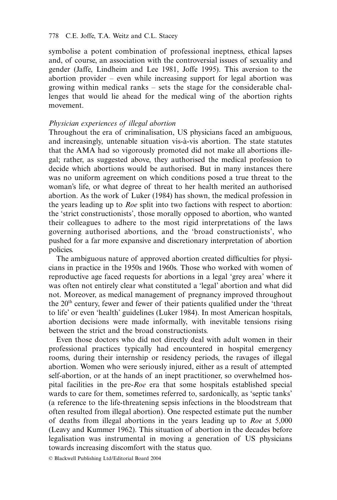symbolise a potent combination of professional ineptness, ethical lapses and, of course, an association with the controversial issues of sexuality and gender (Jaffe, Lindheim and Lee 1981, Joffe 1995). This aversion to the abortion provider – even while increasing support for legal abortion was growing within medical ranks – sets the stage for the considerable challenges that would lie ahead for the medical wing of the abortion rights movement.

#### *Physician experiences of illegal abortion*

Throughout the era of criminalisation, US physicians faced an ambiguous, and increasingly, untenable situation vis-à-vis abortion. The state statutes that the AMA had so vigorously promoted did not make all abortions illegal; rather, as suggested above, they authorised the medical profession to decide which abortions would be authorised. But in many instances there was no uniform agreement on which conditions posed a true threat to the woman's life, or what degree of threat to her health merited an authorised abortion. As the work of Luker (1984) has shown, the medical profession in the years leading up to *Roe* split into two factions with respect to abortion: the 'strict constructionists', those morally opposed to abortion, who wanted their colleagues to adhere to the most rigid interpretations of the laws governing authorised abortions, and the 'broad constructionists', who pushed for a far more expansive and discretionary interpretation of abortion policies.

The ambiguous nature of approved abortion created difficulties for physicians in practice in the 1950s and 1960s. Those who worked with women of reproductive age faced requests for abortions in a legal 'grey area' where it was often not entirely clear what constituted a 'legal' abortion and what did not. Moreover, as medical management of pregnancy improved throughout the 20<sup>th</sup> century, fewer and fewer of their patients qualified under the 'threat to life' or even 'health' guidelines (Luker 1984). In most American hospitals, abortion decisions were made informally, with inevitable tensions rising between the strict and the broad constructionists.

Even those doctors who did not directly deal with adult women in their professional practices typically had encountered in hospital emergency rooms, during their internship or residency periods, the ravages of illegal abortion. Women who were seriously injured, either as a result of attempted self-abortion, or at the hands of an inept practitioner, so overwhelmed hospital facilities in the pre-*Roe* era that some hospitals established special wards to care for them, sometimes referred to, sardonically, as 'septic tanks' (a reference to the life-threatening sepsis infections in the bloodstream that often resulted from illegal abortion). One respected estimate put the number of deaths from illegal abortions in the years leading up to *Roe* at 5,000 (Leavy and Kummer 1962). This situation of abortion in the decades before legalisation was instrumental in moving a generation of US physicians towards increasing discomfort with the status quo.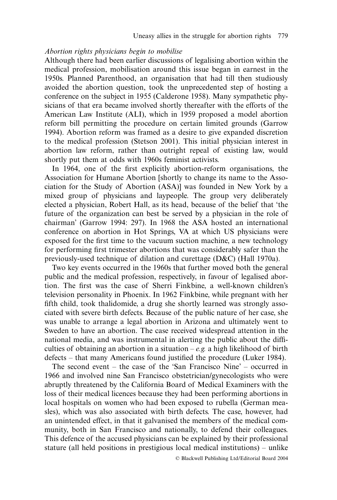### *Abortion rights physicians begin to mobilise*

Although there had been earlier discussions of legalising abortion within the medical profession, mobilisation around this issue began in earnest in the 1950s. Planned Parenthood, an organisation that had till then studiously avoided the abortion question, took the unprecedented step of hosting a conference on the subject in 1955 (Calderone 1958). Many sympathetic physicians of that era became involved shortly thereafter with the efforts of the American Law Institute (ALI), which in 1959 proposed a model abortion reform bill permitting the procedure on certain limited grounds (Garrow 1994). Abortion reform was framed as a desire to give expanded discretion to the medical profession (Stetson 2001). This initial physician interest in abortion law reform, rather than outright repeal of existing law, would shortly put them at odds with 1960s feminist activists.

In 1964, one of the first explicitly abortion-reform organisations, the Association for Humane Abortion [shortly to change its name to the Association for the Study of Abortion (ASA)] was founded in New York by a mixed group of physicians and laypeople. The group very deliberately elected a physician, Robert Hall, as its head, because of the belief that 'the future of the organization can best be served by a physician in the role of chairman' (Garrow 1994: 297). In 1968 the ASA hosted an international conference on abortion in Hot Springs, VA at which US physicians were exposed for the first time to the vacuum suction machine, a new technology for performing first trimester abortions that was considerably safer than the previously-used technique of dilation and curettage (D&C) (Hall 1970a).

Two key events occurred in the 1960s that further moved both the general public and the medical profession, respectively, in favour of legalised abortion. The first was the case of Sherri Finkbine, a well-known children's television personality in Phoenix. In 1962 Finkbine, while pregnant with her fifth child, took thalidomide, a drug she shortly learned was strongly associated with severe birth defects. Because of the public nature of her case, she was unable to arrange a legal abortion in Arizona and ultimately went to Sweden to have an abortion. The case received widespread attention in the national media, and was instrumental in alerting the public about the difficulties of obtaining an abortion in a situation –  $e.g.$  a high likelihood of birth defects – that many Americans found justified the procedure (Luker 1984).

The second event – the case of the 'San Francisco Nine' – occurred in 1966 and involved nine San Francisco obstetrician/gynecologists who were abruptly threatened by the California Board of Medical Examiners with the loss of their medical licences because they had been performing abortions in local hospitals on women who had been exposed to rubella (German measles), which was also associated with birth defects. The case, however, had an unintended effect, in that it galvanised the members of the medical community, both in San Francisco and nationally, to defend their colleagues. This defence of the accused physicians can be explained by their professional stature (all held positions in prestigious local medical institutions) – unlike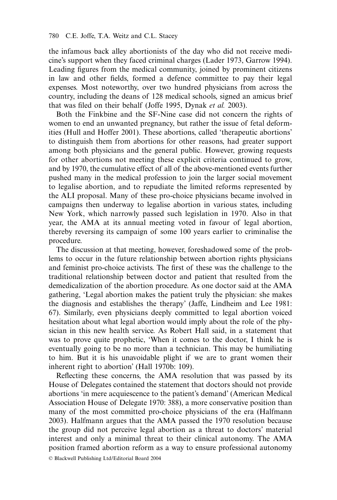#### 780 C.E. Joffe, T.A. Weitz and C.L. Stacey

the infamous back alley abortionists of the day who did not receive medicine's support when they faced criminal charges (Lader 1973, Garrow 1994). Leading figures from the medical community, joined by prominent citizens in law and other fields, formed a defence committee to pay their legal expenses. Most noteworthy, over two hundred physicians from across the country, including the deans of 128 medical schools, signed an amicus brief that was filed on their behalf (Joffe 1995, Dynak *et al.* 2003).

Both the Finkbine and the SF-Nine case did not concern the rights of women to end an unwanted pregnancy, but rather the issue of fetal deformities (Hull and Hoffer 2001). These abortions, called 'therapeutic abortions' to distinguish them from abortions for other reasons, had greater support among both physicians and the general public. However, growing requests for other abortions not meeting these explicit criteria continued to grow, and by 1970, the cumulative effect of all of the above-mentioned events further pushed many in the medical profession to join the larger social movement to legalise abortion, and to repudiate the limited reforms represented by the ALI proposal. Many of these pro-choice physicians became involved in campaigns then underway to legalise abortion in various states, including New York, which narrowly passed such legislation in 1970. Also in that year, the AMA at its annual meeting voted in favour of legal abortion, thereby reversing its campaign of some 100 years earlier to criminalise the procedure.

The discussion at that meeting, however, foreshadowed some of the problems to occur in the future relationship between abortion rights physicians and feminist pro-choice activists. The first of these was the challenge to the traditional relationship between doctor and patient that resulted from the demedicalization of the abortion procedure. As one doctor said at the AMA gathering, 'Legal abortion makes the patient truly the physician: she makes the diagnosis and establishes the therapy' (Jaffe, Lindheim and Lee 1981: 67). Similarly, even physicians deeply committed to legal abortion voiced hesitation about what legal abortion would imply about the role of the physician in this new health service. As Robert Hall said, in a statement that was to prove quite prophetic, 'When it comes to the doctor, I think he is eventually going to be no more than a technician. This may be humiliating to him. But it is his unavoidable plight if we are to grant women their inherent right to abortion' (Hall 1970b: 109).

© Blackwell Publishing Ltd/Editorial Board 2004 Reflecting these concerns, the AMA resolution that was passed by its House of Delegates contained the statement that doctors should not provide abortions 'in mere acquiescence to the patient's demand' (American Medical Association House of Delegate 1970: 388), a more conservative position than many of the most committed pro-choice physicians of the era (Halfmann 2003). Halfmann argues that the AMA passed the 1970 resolution because the group did not perceive legal abortion as a threat to doctors' material interest and only a minimal threat to their clinical autonomy. The AMA position framed abortion reform as a way to ensure professional autonomy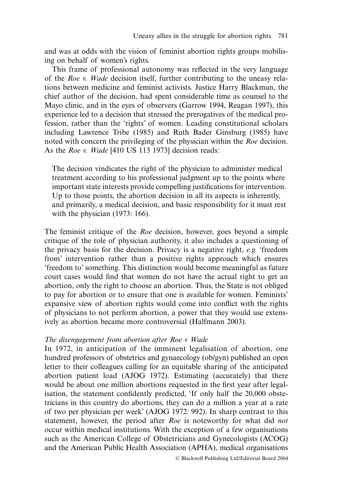and was at odds with the vision of feminist abortion rights groups mobilising on behalf of women's rights.

This frame of professional autonomy was reflected in the very language of the *Roe v. Wade* decision itself, further contributing to the uneasy relations between medicine and feminist activists. Justice Harry Blackmun, the chief author of the decision, had spent considerable time as counsel to the Mayo clinic, and in the eyes of observers (Garrow 1994, Reagan 1997), this experience led to a decision that stressed the prerogatives of the medical profession, rather than the 'rights' of women. Leading constitutional scholars including Lawrence Tribe (1985) and Ruth Bader Ginsburg (1985) have noted with concern the privileging of the physician within the *Roe* decision. As the *Roe v. Wade* [410 US 113 1973] decision reads:

The decision vindicates the right of the physician to administer medical treatment according to his professional judgment up to the points where important state interests provide compelling justifications for intervention. Up to those points, the abortion decision in all its aspects is inherently, and primarily, a medical decision, and basic responsibility for it must rest with the physician (1973: 166).

The feminist critique of the *Roe* decision, however, goes beyond a simple critique of the role of physician authority, it also includes a questioning of the privacy basis for the decision. Privacy is a negative right, *e.g.* 'freedom from' intervention rather than a positive rights approach which ensures 'freedom to' something. This distinction would become meaningful as future court cases would find that women do not have the actual right to get an abortion, only the right to choose an abortion. Thus, the State is not obliged to pay for abortion or to ensure that one is available for women. Feminists' expansive view of abortion rights would come into conflict with the rights of physicians to not perform abortion, a power that they would use extensively as abortion became more controversial (Halfmann 2003).

## *The disengagement from abortion after Roe v Wade*

In 1972, in anticipation of the imminent legalisation of abortion, one hundred professors of obstetrics and gynaecology (ob/gyn) published an open letter to their colleagues calling for an equitable sharing of the anticipated abortion patient load (AJOG 1972). Estimating (accurately) that there would be about one million abortions requested in the first year after legalisation, the statement confidently predicted, 'If only half the 20,000 obstetricians in this country do abortions, they can do a million a year at a rate of two per physician per week' (AJOG 1972: 992). In sharp contrast to this statement, however, the period after *Roe* is noteworthy for what did *not* occur within medical institutions. With the exception of a few organisations such as the American College of Obstetricians and Gynecologists (ACOG) and the American Public Health Association (APHA), medical organisations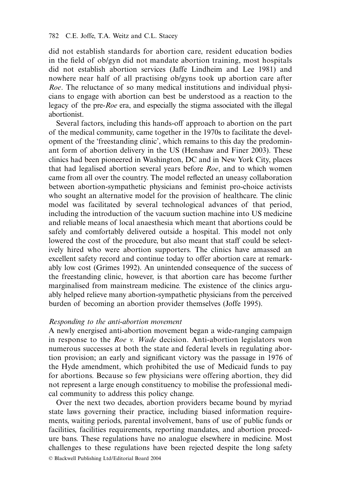did not establish standards for abortion care, resident education bodies in the field of ob/gyn did not mandate abortion training, most hospitals did not establish abortion services (Jaffe Lindheim and Lee 1981) and nowhere near half of all practising ob/gyns took up abortion care after *Roe*. The reluctance of so many medical institutions and individual physicians to engage with abortion can best be understood as a reaction to the legacy of the pre-*Roe* era, and especially the stigma associated with the illegal abortionist.

Several factors, including this hands-off approach to abortion on the part of the medical community, came together in the 1970s to facilitate the development of the 'freestanding clinic', which remains to this day the predominant form of abortion delivery in the US (Henshaw and Finer 2003). These clinics had been pioneered in Washington, DC and in New York City, places that had legalised abortion several years before *Roe*, and to which women came from all over the country. The model reflected an uneasy collaboration between abortion-sympathetic physicians and feminist pro-choice activists who sought an alternative model for the provision of healthcare. The clinic model was facilitated by several technological advances of that period, including the introduction of the vacuum suction machine into US medicine and reliable means of local anaesthesia which meant that abortions could be safely and comfortably delivered outside a hospital. This model not only lowered the cost of the procedure, but also meant that staff could be selectively hired who were abortion supporters. The clinics have amassed an excellent safety record and continue today to offer abortion care at remarkably low cost (Grimes 1992). An unintended consequence of the success of the freestanding clinic, however, is that abortion care has become further marginalised from mainstream medicine. The existence of the clinics arguably helped relieve many abortion-sympathetic physicians from the perceived burden of becoming an abortion provider themselves (Joffe 1995).

#### *Responding to the anti-abortion movement*

A newly energised anti-abortion movement began a wide-ranging campaign in response to the *Roe v. Wade* decision. Anti-abortion legislators won numerous successes at both the state and federal levels in regulating abortion provision; an early and significant victory was the passage in 1976 of the Hyde amendment, which prohibited the use of Medicaid funds to pay for abortions. Because so few physicians were offering abortion, they did not represent a large enough constituency to mobilise the professional medical community to address this policy change.

© Blackwell Publishing Ltd/Editorial Board 2004 Over the next two decades, abortion providers became bound by myriad state laws governing their practice, including biased information requirements, waiting periods, parental involvement, bans of use of public funds or facilities, facilities requirements, reporting mandates, and abortion procedure bans. These regulations have no analogue elsewhere in medicine. Most challenges to these regulations have been rejected despite the long safety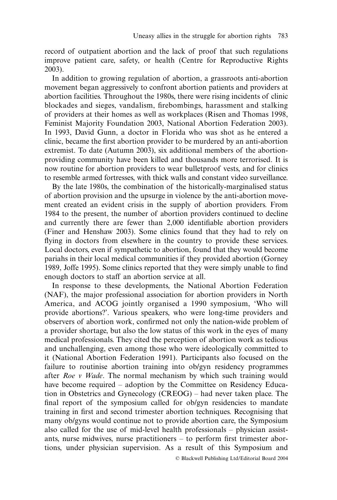record of outpatient abortion and the lack of proof that such regulations improve patient care, safety, or health (Centre for Reproductive Rights 2003).

In addition to growing regulation of abortion, a grassroots anti-abortion movement began aggressively to confront abortion patients and providers at abortion facilities. Throughout the 1980s, there were rising incidents of clinic blockades and sieges, vandalism, firebombings, harassment and stalking of providers at their homes as well as workplaces (Risen and Thomas 1998, Feminist Majority Foundation 2003, National Abortion Federation 2003). In 1993, David Gunn, a doctor in Florida who was shot as he entered a clinic, became the first abortion provider to be murdered by an anti-abortion extremist. To date (Autumn 2003), six additional members of the abortionproviding community have been killed and thousands more terrorised. It is now routine for abortion providers to wear bulletproof vests, and for clinics to resemble armed fortresses, with thick walls and constant video surveillance.

By the late 1980s, the combination of the historically-marginalised status of abortion provision and the upsurge in violence by the anti-abortion movement created an evident crisis in the supply of abortion providers. From 1984 to the present, the number of abortion providers continued to decline and currently there are fewer than 2,000 identifiable abortion providers (Finer and Henshaw 2003). Some clinics found that they had to rely on flying in doctors from elsewhere in the country to provide these services. Local doctors, even if sympathetic to abortion, found that they would become pariahs in their local medical communities if they provided abortion (Gorney 1989, Joffe 1995). Some clinics reported that they were simply unable to find enough doctors to staff an abortion service at all.

In response to these developments, the National Abortion Federation (NAF), the major professional association for abortion providers in North America, and ACOG jointly organised a 1990 symposium, 'Who will provide abortions?'. Various speakers, who were long-time providers and observers of abortion work, confirmed not only the nation-wide problem of a provider shortage, but also the low status of this work in the eyes of many medical professionals. They cited the perception of abortion work as tedious and unchallenging, even among those who were ideologically committed to it (National Abortion Federation 1991). Participants also focused on the failure to routinise abortion training into ob/gyn residency programmes after *Roe v Wade*. The normal mechanism by which such training would have become required – adoption by the Committee on Residency Education in Obstetrics and Gynecology (CREOG) – had never taken place. The final report of the symposium called for ob/gyn residencies to mandate training in first and second trimester abortion techniques. Recognising that many ob/gyns would continue not to provide abortion care, the Symposium also called for the use of mid-level health professionals – physician assistants, nurse midwives, nurse practitioners – to perform first trimester abortions, under physician supervision. As a result of this Symposium and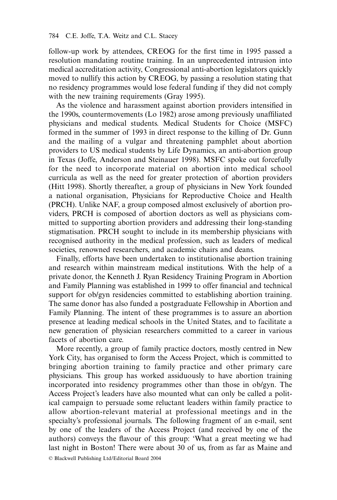#### 784 C.E. Joffe, T.A. Weitz and C.L. Stacey

follow-up work by attendees, CREOG for the first time in 1995 passed a resolution mandating routine training. In an unprecedented intrusion into medical accreditation activity, Congressional anti-abortion legislators quickly moved to nullify this action by CREOG, by passing a resolution stating that no residency programmes would lose federal funding if they did not comply with the new training requirements (Gray 1995).

As the violence and harassment against abortion providers intensified in the 1990s, countermovements (Lo 1982) arose among previously unaffiliated physicians and medical students. Medical Students for Choice (MSFC) formed in the summer of 1993 in direct response to the killing of Dr. Gunn and the mailing of a vulgar and threatening pamphlet about abortion providers to US medical students by Life Dynamics, an anti-abortion group in Texas (Joffe, Anderson and Steinauer 1998). MSFC spoke out forcefully for the need to incorporate material on abortion into medical school curricula as well as the need for greater protection of abortion providers (Hitt 1998). Shortly thereafter, a group of physicians in New York founded a national organisation, Physicians for Reproductive Choice and Health (PRCH). Unlike NAF, a group composed almost exclusively of abortion providers, PRCH is composed of abortion doctors as well as physicians committed to supporting abortion providers and addressing their long-standing stigmatisation. PRCH sought to include in its membership physicians with recognised authority in the medical profession, such as leaders of medical societies, renowned researchers, and academic chairs and deans.

Finally, efforts have been undertaken to institutionalise abortion training and research within mainstream medical institutions. With the help of a private donor, the Kenneth J. Ryan Residency Training Program in Abortion and Family Planning was established in 1999 to offer financial and technical support for ob/gyn residencies committed to establishing abortion training. The same donor has also funded a postgraduate Fellowship in Abortion and Family Planning. The intent of these programmes is to assure an abortion presence at leading medical schools in the United States, and to facilitate a new generation of physician researchers committed to a career in various facets of abortion care.

© Blackwell Publishing Ltd/Editorial Board 2004 More recently, a group of family practice doctors, mostly centred in New York City, has organised to form the Access Project, which is committed to bringing abortion training to family practice and other primary care physicians. This group has worked assiduously to have abortion training incorporated into residency programmes other than those in ob/gyn. The Access Project's leaders have also mounted what can only be called a political campaign to persuade some reluctant leaders within family practice to allow abortion-relevant material at professional meetings and in the specialty's professional journals. The following fragment of an e-mail, sent by one of the leaders of the Access Project (and received by one of the authors) conveys the flavour of this group: 'What a great meeting we had last night in Boston! There were about 30 of us, from as far as Maine and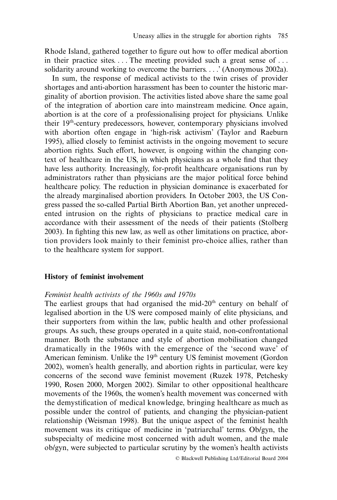Rhode Island, gathered together to figure out how to offer medical abortion in their practice sites.... The meeting provided such a great sense of ... solidarity around working to overcome the barriers. . . .' (Anonymous 2002a).

In sum, the response of medical activists to the twin crises of provider shortages and anti-abortion harassment has been to counter the historic marginality of abortion provision. The activities listed above share the same goal of the integration of abortion care into mainstream medicine. Once again, abortion is at the core of a professionalising project for physicians. Unlike their 19<sup>th</sup>-century predecessors, however, contemporary physicians involved with abortion often engage in 'high-risk activism' (Taylor and Raeburn 1995), allied closely to feminist activists in the ongoing movement to secure abortion rights. Such effort, however, is ongoing within the changing context of healthcare in the US, in which physicians as a whole find that they have less authority. Increasingly, for-profit healthcare organisations run by administrators rather than physicians are the major political force behind healthcare policy. The reduction in physician dominance is exacerbated for the already marginalised abortion providers. In October 2003, the US Congress passed the so-called Partial Birth Abortion Ban, yet another unprecedented intrusion on the rights of physicians to practice medical care in accordance with their assessment of the needs of their patients (Stolberg 2003). In fighting this new law, as well as other limitations on practice, abortion providers look mainly to their feminist pro-choice allies, rather than to the healthcare system for support.

#### **History of feminist involvement**

#### *Feminist health activists of the 1960s and 1970s*

The earliest groups that had organised the mid- $20<sup>th</sup>$  century on behalf of legalised abortion in the US were composed mainly of elite physicians, and their supporters from within the law, public health and other professional groups. As such, these groups operated in a quite staid, non-confrontational manner. Both the substance and style of abortion mobilisation changed dramatically in the 1960s with the emergence of the 'second wave' of American feminism. Unlike the 19<sup>th</sup> century US feminist movement (Gordon 2002), women's health generally, and abortion rights in particular, were key concerns of the second wave feminist movement (Ruzek 1978, Petchesky 1990, Rosen 2000, Morgen 2002). Similar to other oppositional healthcare movements of the 1960s, the women's health movement was concerned with the demystification of medical knowledge, bringing healthcare as much as possible under the control of patients, and changing the physician-patient relationship (Weisman 1998). But the unique aspect of the feminist health movement was its critique of medicine in 'patriarchal' terms. Ob/gyn, the subspecialty of medicine most concerned with adult women, and the male ob/gyn, were subjected to particular scrutiny by the women's health activists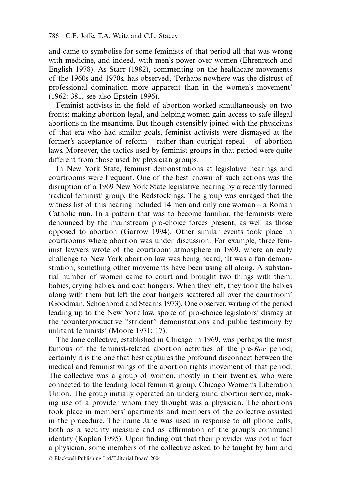and came to symbolise for some feminists of that period all that was wrong with medicine, and indeed, with men's power over women (Ehrenreich and English 1978). As Starr (1982), commenting on the healthcare movements of the 1960s and 1970s, has observed, 'Perhaps nowhere was the distrust of professional domination more apparent than in the women's movement' (1962: 381, see also Epstein 1996).

Feminist activists in the field of abortion worked simultaneously on two fronts: making abortion legal, and helping women gain access to safe illegal abortions in the meantime. But though ostensibly joined with the physicians of that era who had similar goals, feminist activists were dismayed at the former's acceptance of reform – rather than outright repeal – of abortion laws. Moreover, the tactics used by feminist groups in that period were quite different from those used by physician groups.

In New York State, feminist demonstrations at legislative hearings and courtrooms were frequent. One of the best known of such actions was the disruption of a 1969 New York State legislative hearing by a recently formed 'radical feminist' group, the Redstockings. The group was enraged that the witness list of this hearing included 14 men and only one woman – a Roman Catholic nun. In a pattern that was to become familiar, the feminists were denounced by the mainstream pro-choice forces present, as well as those opposed to abortion (Garrow 1994). Other similar events took place in courtrooms where abortion was under discussion. For example, three feminist lawyers wrote of the courtroom atmosphere in 1969, where an early challenge to New York abortion law was being heard, 'It was a fun demonstration, something other movements have been using all along. A substantial number of women came to court and brought two things with them: babies, crying babies, and coat hangers. When they left, they took the babies along with them but left the coat hangers scattered all over the courtroom' (Goodman, Schoenbrod and Stearns 1973). One observer, writing of the period leading up to the New York law, spoke of pro-choice legislators' dismay at the 'counterproductive "strident" demonstrations and public testimony by militant feminists' (Moore 1971: 17).

© Blackwell Publishing Ltd/Editorial Board 2004 The Jane collective, established in Chicago in 1969, was perhaps the most famous of the feminist-related abortion activities of the pre-*Roe* period; certainly it is the one that best captures the profound disconnect between the medical and feminist wings of the abortion rights movement of that period. The collective was a group of women, mostly in their twenties, who were connected to the leading local feminist group, Chicago Women's Liberation Union. The group initially operated an underground abortion service, making use of a provider whom they thought was a physician. The abortions took place in members' apartments and members of the collective assisted in the procedure. The name Jane was used in response to all phone calls, both as a security measure and as affirmation of the group's communal identity (Kaplan 1995). Upon finding out that their provider was not in fact a physician, some members of the collective asked to be taught by him and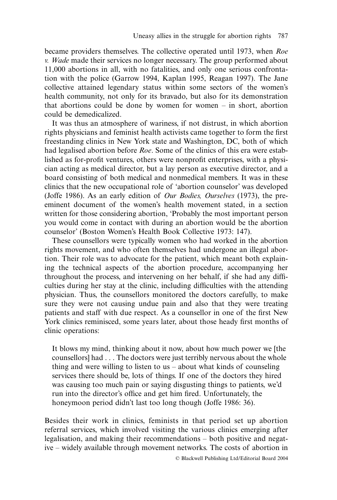became providers themselves. The collective operated until 1973, when *Roe v. Wade* made their services no longer necessary. The group performed about 11,000 abortions in all, with no fatalities, and only one serious confrontation with the police (Garrow 1994, Kaplan 1995, Reagan 1997). The Jane collective attained legendary status within some sectors of the women's health community, not only for its bravado, but also for its demonstration that abortions could be done by women for women  $-$  in short, abortion could be demedicalized.

It was thus an atmosphere of wariness, if not distrust, in which abortion rights physicians and feminist health activists came together to form the first freestanding clinics in New York state and Washington, DC, both of which had legalised abortion before *Roe*. Some of the clinics of this era were established as for-profit ventures, others were nonprofit enterprises, with a physician acting as medical director, but a lay person as executive director, and a board consisting of both medical and nonmedical members. It was in these clinics that the new occupational role of 'abortion counselor' was developed (Joffe 1986). As an early edition of *Our Bodies, Ourselves* (1973), the preeminent document of the women's health movement stated, in a section written for those considering abortion, 'Probably the most important person you would come in contact with during an abortion would be the abortion counselor' (Boston Women's Health Book Collective 1973: 147).

These counsellors were typically women who had worked in the abortion rights movement, and who often themselves had undergone an illegal abortion. Their role was to advocate for the patient, which meant both explaining the technical aspects of the abortion procedure, accompanying her throughout the process, and intervening on her behalf, if she had any difficulties during her stay at the clinic, including difficulties with the attending physician. Thus, the counsellors monitored the doctors carefully, to make sure they were not causing undue pain and also that they were treating patients and staff with due respect. As a counsellor in one of the first New York clinics reminisced, some years later, about those heady first months of clinic operations:

It blows my mind, thinking about it now, about how much power we [the counsellors] had . . . The doctors were just terribly nervous about the whole thing and were willing to listen to us – about what kinds of counseling services there should be, lots of things. If one of the doctors they hired was causing too much pain or saying disgusting things to patients, we'd run into the director's office and get him fired. Unfortunately, the honeymoon period didn't last too long though (Joffe 1986: 36).

Besides their work in clinics, feminists in that period set up abortion referral services, which involved visiting the various clinics emerging after legalisation, and making their recommendations – both positive and negative – widely available through movement networks. The costs of abortion in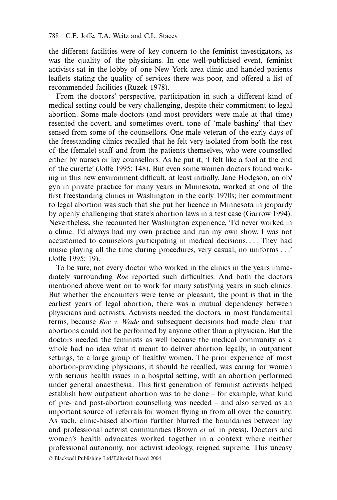the different facilities were of key concern to the feminist investigators, as was the quality of the physicians. In one well-publicised event, feminist activists sat in the lobby of one New York area clinic and handed patients leaflets stating the quality of services there was poor, and offered a list of recommended facilities (Ruzek 1978).

From the doctors' perspective, participation in such a different kind of medical setting could be very challenging, despite their commitment to legal abortion. Some male doctors (and most providers were male at that time) resented the covert, and sometimes overt, tone of 'male bashing' that they sensed from some of the counsellors. One male veteran of the early days of the freestanding clinics recalled that he felt very isolated from both the rest of the (female) staff and from the patients themselves, who were counselled either by nurses or lay counsellors. As he put it, 'I felt like a fool at the end of the curette' (Joffe 1995: 148). But even some women doctors found working in this new environment difficult, at least initially. Jane Hodgson, an ob/ gyn in private practice for many years in Minnesota, worked at one of the first freestanding clinics in Washington in the early 1970s; her commitment to legal abortion was such that she put her licence in Minnesota in jeopardy by openly challenging that state's abortion laws in a test case (Garrow 1994). Nevertheless, she recounted her Washington experience, 'I'd never worked in a clinic. I'd always had my own practice and run my own show. I was not accustomed to counselors participating in medical decisions. . . . They had music playing all the time during procedures, very casual, no uniforms . . .' (Joffe 1995: 19).

© Blackwell Publishing Ltd/Editorial Board 2004 To be sure, not every doctor who worked in the clinics in the years immediately surrounding *Roe* reported such difficulties. And both the doctors mentioned above went on to work for many satisfying years in such clinics. But whether the encounters were tense or pleasant, the point is that in the earliest years of legal abortion, there was a mutual dependency between physicians and activists. Activists needed the doctors, in most fundamental terms, because *Roe v. Wade* and subsequent decisions had made clear that abortions could not be performed by anyone other than a physician. But the doctors needed the feminists as well because the medical community as a whole had no idea what it meant to deliver abortion legally, in outpatient settings, to a large group of healthy women. The prior experience of most abortion-providing physicians, it should be recalled, was caring for women with serious health issues in a hospital setting, with an abortion performed under general anaesthesia. This first generation of feminist activists helped establish how outpatient abortion was to be done – for example, what kind of pre- and post-abortion counselling was needed – and also served as an important source of referrals for women flying in from all over the country. As such, clinic-based abortion further blurred the boundaries between lay and professional activist communities (Brown *et al.* in press). Doctors and women's health advocates worked together in a context where neither professional autonomy, nor activist ideology, reigned supreme. This uneasy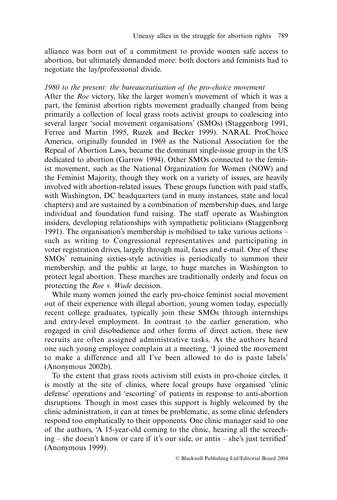alliance was born out of a commitment to provide women safe access to abortion, but ultimately demanded more: both doctors and feminists had to negotiate the lay/professional divide.

#### *1980 to the present: the bureaucratisation of the pro-choice movement*

After the *Roe* victory, like the larger women's movement of which it was a part, the feminist abortion rights movement gradually changed from being primarily a collection of local grass roots activist groups to coalescing into several larger 'social movement organisations' (SMOs) (Staggenborg 1991, Ferree and Martin 1995, Ruzek and Becker 1999). NARAL ProChoice America, originally founded in 1969 as the National Association for the Repeal of Abortion Laws, became the dominant single-issue group in the US dedicated to abortion (Garrow 1994). Other SMOs connected to the feminist movement, such as the National Organization for Women (NOW) and the Feminist Majority, though they work on a variety of issues, are heavily involved with abortion-related issues. These groups function with paid staffs, with Washington, DC headquarters (and in many instances, state and local chapters) and are sustained by a combination of membership dues, and large individual and foundation fund raising. The staff operate as Washington insiders, developing relationships with sympathetic politicians (Staggenborg 1991). The organisation's membership is mobilised to take various actions – such as writing to Congressional representatives and participating in voter registration drives, largely through mail, faxes and e-mail. One of these SMOs' remaining sixties-style activities is periodically to summon their membership, and the public at large, to huge marches in Washington to protect legal abortion. These marches are traditionally orderly and focus on protecting the *Roe v. Wade* decision.

While many women joined the early pro-choice feminist social movement out of their experience with illegal abortion, young women today, especially recent college graduates, typically join these SMOs through internships and entry-level employment. In contrast to the earlier generation, who engaged in civil disobedience and other forms of direct action, these new recruits are often assigned administrative tasks. As the authors heard one such young employee complain at a meeting, 'I joined the movement to make a difference and all I've been allowed to do is paste labels' (Anonymous 2002b).

To the extent that grass roots activism still exists in pro-choice circles, it is mostly at the site of clinics, where local groups have organised 'clinic defense' operations and 'escorting' of patients in response to anti-abortion disruptions. Though in most cases this support is highly welcomed by the clinic administration, it can at times be problematic, as some clinic defenders respond too emphatically to their opponents. One clinic manager said to one of the authors, 'A 15-year-old coming to the clinic, hearing all the screeching – she doesn't know or care if it's our side, or antis – she's just terrified' (Anonymous 1999).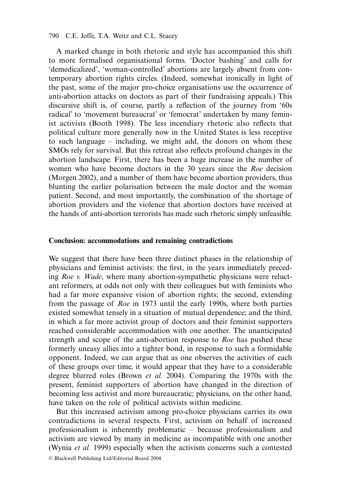#### 790 C.E. Joffe, T.A. Weitz and C.L. Stacey

A marked change in both rhetoric and style has accompanied this shift to more formalised organisational forms. 'Doctor bashing' and calls for 'demedicalized', 'woman-controlled' abortions are largely absent from contemporary abortion rights circles. (Indeed, somewhat ironically in light of the past, some of the major pro-choice organisations use the occurrence of anti-abortion attacks on doctors as part of their fundraising appeals.) This discursive shift is, of course, partly a reflection of the journey from '60s radical' to 'movement bureaucrat' or 'femocrat' undertaken by many feminist activists (Booth 1998). The less incendiary rhetoric also reflects that political culture more generally now in the United States is less receptive to such language – including, we might add, the donors on whom these SMOs rely for survival. But this retreat also reflects profound changes in the abortion landscape. First, there has been a huge increase in the number of women who have become doctors in the 30 years since the *Roe* decision (Morgen 2002), and a number of them have become abortion providers, thus blunting the earlier polarisation between the male doctor and the woman patient. Second, and most importantly, the combination of the shortage of abortion providers and the violence that abortion doctors have received at the hands of anti-abortion terrorists has made such rhetoric simply unfeasible.

#### **Conclusion: accommodations and remaining contradictions**

We suggest that there have been three distinct phases in the relationship of physicians and feminist activists: the first, in the years immediately preceding *Roe v. Wade*, where many abortion-sympathetic physicians were reluctant reformers, at odds not only with their colleagues but with feminists who had a far more expansive vision of abortion rights; the second, extending from the passage of *Roe* in 1973 until the early 1990s, where both parties existed somewhat tensely in a situation of mutual dependence; and the third, in which a far more activist group of doctors and their feminist supporters reached considerable accommodation with one another. The unanticipated strength and scope of the anti-abortion response to *Roe* has pushed these formerly uneasy allies into a tighter bond, in response to such a formidable opponent. Indeed, we can argue that as one observes the activities of each of these groups over time, it would appear that they have to a considerable degree blurred roles (Brown *et al.* 2004). Comparing the 1970s with the present, feminist supporters of abortion have changed in the direction of becoming less activist and more bureaucratic; physicians, on the other hand, have taken on the role of political activists within medicine.

© Blackwell Publishing Ltd/Editorial Board 2004 But this increased activism among pro-choice physicians carries its own contradictions in several respects. First, activism on behalf of increased professionalism is inherently problematic – because professionalism and activism are viewed by many in medicine as incompatible with one another (Wynia *et al.* 1999) especially when the activism concerns such a contested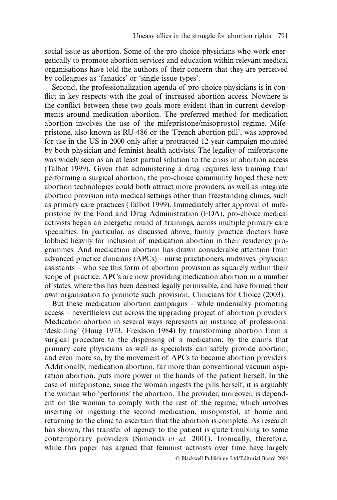social issue as abortion. Some of the pro-choice physicians who work energetically to promote abortion services and education within relevant medical organisations have told the authors of their concern that they are perceived by colleagues as 'fanatics' or 'single-issue types'.

Second, the professionalization agenda of pro-choice physicians is in conflict in key respects with the goal of increased abortion access. Nowhere is the conflict between these two goals more evident than in current developments around medication abortion. The preferred method for medication abortion involves the use of the mifepristone/misoprostol regime. Mifepristone, also known as RU-486 or the 'French abortion pill', was approved for use in the US in 2000 only after a protracted 12-year campaign mounted by both physician and feminist health activists. The legality of mifepristone was widely seen as an at least partial solution to the crisis in abortion access (Talbot 1999). Given that administering a drug requires less training than performing a surgical abortion, the pro-choice community hoped these new abortion technologies could both attract more providers, as well as integrate abortion provision into medical settings other than freestanding clinics, such as primary care practices (Talbot 1999). Immediately after approval of mifepristone by the Food and Drug Administration (FDA), pro-choice medical activists began an energetic round of trainings, across multiple primary care specialties. In particular, as discussed above, family practice doctors have lobbied heavily for inclusion of medication abortion in their residency programmes. And medication abortion has drawn considerable attention from advanced practice clinicians (APCs) – nurse practitioners, midwives, physician assistants – who see this form of abortion provision as squarely within their scope of practice. APCs are now providing medication abortion in a number of states, where this has been deemed legally permissible, and have formed their own organisation to promote such provision, Clinicians for Choice (2003).

But these medication abortion campaigns – while undeniably promoting access – nevertheless cut across the upgrading project of abortion providers. Medication abortion in several ways represents an instance of professional 'deskilling' (Haug 1973, Freidson 1984) by transforming abortion from a surgical procedure to the dispensing of a medication; by the claims that primary care physicians as well as specialists can safely provide abortion; and even more so, by the movement of APCs to become abortion providers. Additionally, medication abortion, far more than conventional vacuum aspiration abortion, puts more power in the hands of the patient herself. In the case of mifepristone, since the woman ingests the pills herself, it is arguably the woman who 'performs' the abortion. The provider, moreover, is dependent on the woman to comply with the rest of the regime, which involves inserting or ingesting the second medication, misoprostol, at home and returning to the clinic to ascertain that the abortion is complete. As research has shown, this transfer of agency to the patient is quite troubling to some contemporary providers (Simonds *et al.* 2001). Ironically, therefore, while this paper has argued that feminist activists over time have largely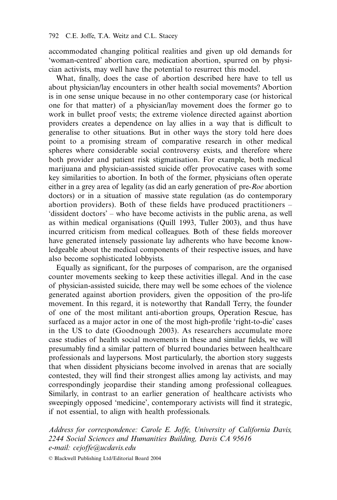accommodated changing political realities and given up old demands for 'woman-centred' abortion care, medication abortion, spurred on by physician activists, may well have the potential to resurrect this model.

What, finally, does the case of abortion described here have to tell us about physician/lay encounters in other health social movements? Abortion is in one sense unique because in no other contemporary case (or historical one for that matter) of a physician/lay movement does the former go to work in bullet proof vests; the extreme violence directed against abortion providers creates a dependence on lay allies in a way that is difficult to generalise to other situations. But in other ways the story told here does point to a promising stream of comparative research in other medical spheres where considerable social controversy exists, and therefore where both provider and patient risk stigmatisation. For example, both medical marijuana and physician-assisted suicide offer provocative cases with some key similarities to abortion. In both of the former, physicians often operate either in a grey area of legality (as did an early generation of pre-*Roe* abortion doctors) or in a situation of massive state regulation (as do contemporary abortion providers). Both of these fields have produced practitioners – 'dissident doctors' – who have become activists in the public arena, as well as within medical organisations (Quill 1993, Tuller 2003), and thus have incurred criticism from medical colleagues. Both of these fields moreover have generated intensely passionate lay adherents who have become knowledgeable about the medical components of their respective issues, and have also become sophisticated lobbyists.

Equally as significant, for the purposes of comparison, are the organised counter movements seeking to keep these activities illegal. And in the case of physician-assisted suicide, there may well be some echoes of the violence generated against abortion providers, given the opposition of the pro-life movement. In this regard, it is noteworthy that Randall Terry, the founder of one of the most militant anti-abortion groups, Operation Rescue, has surfaced as a major actor in one of the most high-profile 'right-to-die' cases in the US to date (Goodnough 2003). As researchers accumulate more case studies of health social movements in these and similar fields, we will presumably find a similar pattern of blurred boundaries between healthcare professionals and laypersons. Most particularly, the abortion story suggests that when dissident physicians become involved in arenas that are socially contested, they will find their strongest allies among lay activists, and may correspondingly jeopardise their standing among professional colleagues. Similarly, in contrast to an earlier generation of healthcare activists who sweepingly opposed 'medicine', contemporary activists will find it strategic, if not essential, to align with health professionals.

*Address for correspondence: Carole E. Joffe, University of California Davis, 2244 Social Sciences and Humanities Building, Davis CA 95616 e-mail: cejoffe@ucdavis.edu*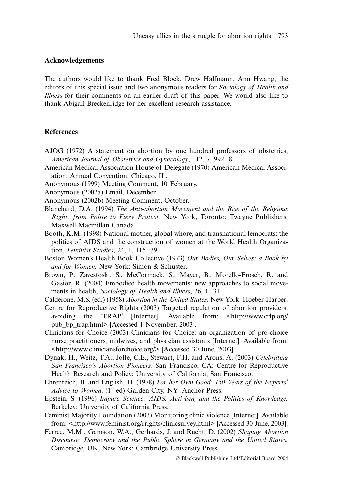#### **Acknowledgements**

The authors would like to thank Fred Block, Drew Halfmann, Ann Hwang, the editors of this special issue and two anonymous readers for *Sociology of Health and Illness* for their comments on an earlier draft of this paper. We would also like to thank Abigail Breckenridge for her excellent research assistance.

#### **References**

- AJOG (1972) A statement on abortion by one hundred professors of obstetrics, *American Journal of Obstetrics and Gynecology*, 112, 7, 992–8.
- American Medical Association House of Delegate (1970) American Medical Association: Annual Convention, Chicago, IL.
- Anonymous (1999) Meeting Comment, 10 February.
- Anonymous (2002a) Email, December.
- Anonymous (2002b) Meeting Comment, October.
- Blanchard, D.A. (1994) *The Anti-abortion Movement and the Rise of the Religious Right: from Polite to Fiery Protest.* New York, Toronto: Twayne Publishers, Maxwell Macmillan Canada.
- Booth, K.M. (1998) National mother, global whore, and transnational femocrats: the politics of AIDS and the construction of women at the World Health Organization, *Feminist Studies*, 24, 1, 115–39.
- Boston Women's Health Book Collective (1973) *Our Bodies, Our Selves: a Book by and for Women.* New York: Simon & Schuster.
- Brown, P., Zavestoski, S., McCormack, S., Mayer, B., Morello-Frosch, R. and Gasior, R. (2004) Embodied health movements: new approaches to social movements in health, *Sociology of Health and Illness*, 26, 1–31.
- Calderone, M.S. (ed.) (1958) *Abortion in the United States.* New York: Hoeber-Harper.
- Centre for Reproductive Rights (2003) Targeted regulation of abortion providers: avoiding the 'TRAP' [Internet]. Available from: [<http://www.crlp.org/](http://www.crlp.org/) pub\_bp\_trap.html> [Accessed 1 November, 2003].
- Clinicians for Choice (2003) Clinicians for Choice: an organization of pro-choice nurse practitioners, midwives, and physician assistants [Internet]. Available from: [<http://www.cliniciansforchoice.org/>](http://www.cliniciansforchoice.org/) [Accessed 30 June, 2003].
- Dynak, H., Weitz, T.A., Joffe, C.E., Stewart, F.H. and Arons, A. (2003) *Celebrating San Francisco's Abortion Pioneers.* San Francisco, CA: Centre for Reproductive Health Research and Policy; University of California, San Francisco.
- Ehrenreich, B. and English, D. (1978) *For her Own Good: 150 Years of the Experts' Advice to Women*. (1<sup>st</sup> ed) Garden City, NY: Anchor Press.
- Epstein, S. (1996) *Impure Science: AIDS, Activism, and the Politics of Knowledge.* Berkeley: University of California Press.
- Feminist Majority Foundation (2003) Monitoring clinic violence [Internet]. Available from: [<http://www.feminist.org/rrights/clinicsurvey.html>](http://www.feminist.org/rrights/clinicsurvey.html) [Accessed 30 June, 2003].
- Ferree, M.M., Gamson, W.A., Gerhards, J. and Rucht, D. (2002) *Shaping Abortion Discourse: Democracy and the Public Sphere in Germany and the United States.* Cambridge, UK, New York: Cambridge University Press.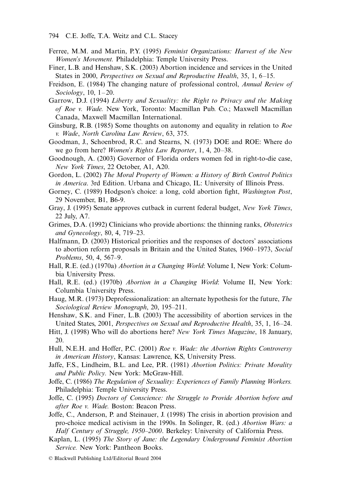#### 794 C.E. Joffe, T.A. Weitz and C.L. Stacey

- Ferree, M.M. and Martin, P.Y. (1995) *Feminist Organizations: Harvest of the New Women's Movement.* Philadelphia: Temple University Press.
- Finer, L.B. and Henshaw, S.K. (2003) Abortion incidence and services in the United States in 2000, *Perspectives on Sexual and Reproductive Health*, 35, 1, 6–15.
- Freidson, E. (1984) The changing nature of professional control, *Annual Review of Sociology*, 10, 1–20.
- Garrow, D.J. (1994) *Liberty and Sexuality: the Right to Privacy and the Making of Roe v. Wade.* New York, Toronto: Macmillan Pub. Co.; Maxwell Macmillan Canada, Maxwell Macmillan International.
- Ginsburg, R.B. (1985) Some thoughts on autonomy and equality in relation to *Roe v. Wade*, *North Carolina Law Review*, 63, 375.
- Goodman, J., Schoenbrod, R.C. and Stearns, N. (1973) DOE and ROE: Where do we go from here? *Women's Rights Law Reporter*, 1, 4, 20–38.
- Goodnough, A. (2003) Governor of Florida orders women fed in right-to-die case, *New York Times*, 22 October, A1, A20.
- Gordon, L. (2002) *The Moral Property of Women: a History of Birth Control Politics in America*. 3rd Edition. Urbana and Chicago, IL: University of Illinois Press.
- Gorney, C. (1989) Hodgson's choice: a long, cold abortion fight, *Washington Post*, 29 November, B1, B6-9.
- Gray, J. (1995) Senate approves cutback in current federal budget, *New York Times*, 22 July, A7.
- Grimes, D.A. (1992) Clinicians who provide abortions: the thinning ranks, *Obstetrics and Gynecology*, 80, 4, 719–23.
- Halfmann, D. (2003) Historical priorities and the responses of doctors' associations to abortion reform proposals in Britain and the United States, 1960–1973, *Social Problems*, 50, 4, 567–9.
- Hall, R.E. (ed.) (1970a) *Abortion in a Changing World*: Volume I, New York: Columbia University Press.
- Hall, R.E. (ed.) (1970b) *Abortion in a Changing World*: Volume II, New York: Columbia University Press.
- Haug, M.R. (1973) Deprofessionalization: an alternate hypothesis for the future, *The Sociological Review Monograph*, 20, 195–211.
- Henshaw, S.K. and Finer, L.B. (2003) The accessibility of abortion services in the United States, 2001, *Perspectives on Sexual and Reproductive Health*, 35, 1, 16–24.
- Hitt, J. (1998) Who will do abortions here? *New York Times Magazine*, 18 January, 20.
- Hull, N.E.H. and Hoffer, P.C. (2001) *Roe v. Wade: the Abortion Rights Controversy in American History*, Kansas: Lawrence, KS, University Press.
- Jaffe, F.S., Lindheim, B.L. and Lee, P.R. (1981) *Abortion Politics: Private Morality and Public Policy.* New York: McGraw-Hill.
- Joffe, C. (1986) *The Regulation of Sexuality: Experiences of Family Planning Workers.* Philadelphia: Temple University Press.
- Joffe, C. (1995) *Doctors of Conscience: the Struggle to Provide Abortion before and after Roe v. Wade.* Boston: Beacon Press.
- Joffe, C., Anderson, P. and Steinauer, J. (1998) The crisis in abortion provision and pro-choice medical activism in the 1990s. In Solinger, R. (ed.) *Abortion Wars: a Half Century of Struggle, 1950–2000*. Berkeley: University of California Press.
- Kaplan, L. (1995) *The Story of Jane: the Legendary Underground Feminist Abortion Service.* New York: Pantheon Books.
- © Blackwell Publishing Ltd/Editorial Board 2004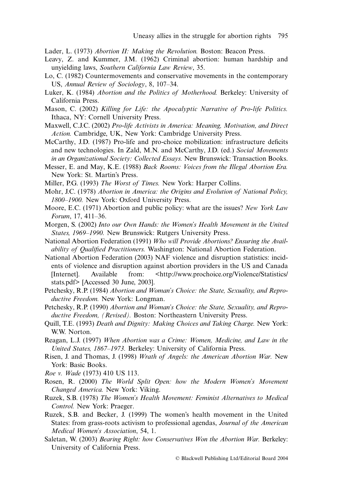- Lader, L. (1973) *Abortion II: Making the Revolution.* Boston: Beacon Press.
- Leavy, Z. and Kummer, J.M. (1962) Criminal abortion: human hardship and unyielding laws, *Southern California Law Review*, 35.
- Lo, C. (1982) Countermovements and conservative movements in the contemporary US, *Annual Review of Sociology*, 8, 107–34.
- Luker, K. (1984) *Abortion and the Politics of Motherhood.* Berkeley: University of California Press.
- Mason, C. (2002) *Killing for Life: the Apocalyptic Narrative of Pro-life Politics.* Ithaca, NY: Cornell University Press.
- Maxwell, C.J.C. (2002) *Pro-life Activists in America: Meaning, Motivation, and Direct Action.* Cambridge, UK, New York: Cambridge University Press.
- McCarthy, J.D. (1987) Pro-life and pro-choice mobilization: infrastructure deficits and new technologies. In Zald, M.N. and McCarthy, J.D. (ed.) *Social Movements in an Organizational Society: Collected Essays.* New Brunswick: Transaction Books.
- Messer, E. and May, K.E. (1988) *Back Rooms: Voices from the Illegal Abortion Era.* New York: St. Martin's Press.
- Miller, P.G. (1993) *The Worst of Times.* New York: Harper Collins.
- Mohr, J.C. (1978) *Abortion in America: the Origins and Evolution of National Policy, 1800–1900.* New York: Oxford University Press.
- Moore, E.C. (1971) Abortion and public policy: what are the issues? *New York Law Forum*, 17, 411–36.
- Morgen, S. (2002) *Into our Own Hands: the Women's Health Movement in the United States, 1969–1990.* New Brunswick: Rutgers University Press.
- National Abortion Federation (1991) *Who will Provide Abortions? Ensuring the Availability of Qualified Practitioners.* Washington: National Abortion Federation.
- National Abortion Federation (2003) NAF violence and disruption statistics: incidents of violence and disruption against abortion providers in the US and Canada [Internet]. Available from: [<http://www.prochoice.org/Violence/Statistics/](http://www.prochoice.org/Violence/Statistics/) stats.pdf> [Accessed 30 June, 2003].
- Petchesky, R.P. (1984) *Abortion and Woman's Choice: the State, Sexuality, and Reproductive Freedom.* New York: Longman.
- Petchesky, R.P. (1990) *Abortion and Woman's Choice: the State, Sexuality, and Reproductive Freedom, (Revised).* Boston: Northeastern University Press.
- Quill, T.E. (1993) *Death and Dignity: Making Choices and Taking Charge.* New York: W.W. Norton.
- Reagan, L.J. (1997) *When Abortion was a Crime: Women, Medicine, and Law in the United States, 1867–1973.* Berkeley: University of California Press.
- Risen, J. and Thomas, J. (1998) *Wrath of Angels: the American Abortion War.* New York: Basic Books.
- *Roe v. Wade* (1973) 410 US 113.
- Rosen, R. (2000) *The World Split Open: how the Modern Women's Movement Changed America.* New York: Viking.
- Ruzek, S.B. (1978) *The Women's Health Movement: Feminist Alternatives to Medical Control.* New York: Praeger.
- Ruzek, S.B. and Becker, J. (1999) The women's health movement in the United States: from grass-roots activism to professional agendas, *Journal of the American Medical Women's Association*, 54, 1.
- Saletan, W. (2003) *Bearing Right: how Conservatives Won the Abortion War.* Berkeley: University of California Press.